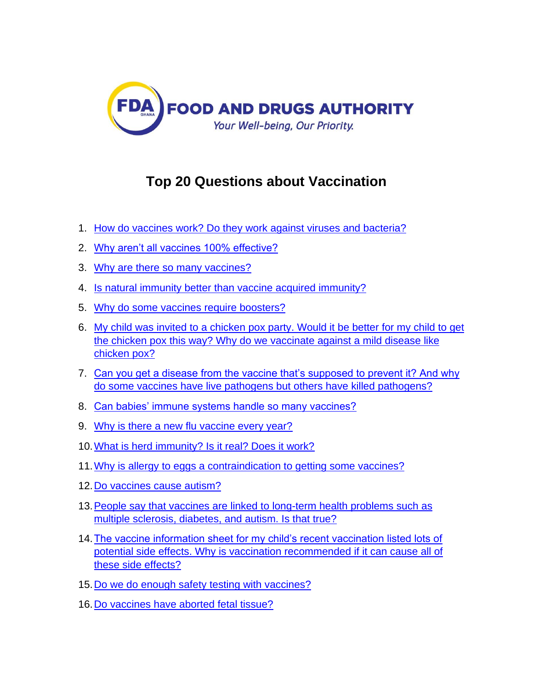

# **Top 20 Questions about Vaccination**

- 1. [How do vaccines work? Do they work against viruses and bacteria?](https://www.historyofvaccines.org/content/articles/top-20-questions-about-vaccination#1)
- 2. [Why aren't all vaccines 100% effective?](https://www.historyofvaccines.org/content/articles/top-20-questions-about-vaccination#2)
- 3. [Why are there so many vaccines?](https://www.historyofvaccines.org/content/articles/top-20-questions-about-vaccination#3)
- 4. [Is natural immunity better than vaccine acquired immunity?](https://www.historyofvaccines.org/content/articles/top-20-questions-about-vaccination#4)
- 5. [Why do some vaccines require boosters?](https://www.historyofvaccines.org/content/articles/top-20-questions-about-vaccination#5)
- 6. [My child was invited to a chicken pox party. Would it be better for my child to get](https://www.historyofvaccines.org/content/articles/top-20-questions-about-vaccination#6)  [the chicken pox this way? Why do we vaccinate against a mild disease like](https://www.historyofvaccines.org/content/articles/top-20-questions-about-vaccination#6)  [chicken pox?](https://www.historyofvaccines.org/content/articles/top-20-questions-about-vaccination#6)
- 7. [Can you get a disease from the vaccine that's supposed to prevent it? And why](https://www.historyofvaccines.org/content/articles/top-20-questions-about-vaccination#7)  [do some vaccines have live pathogens but others have killed pathogens?](https://www.historyofvaccines.org/content/articles/top-20-questions-about-vaccination#7)
- 8. [Can babies' immune systems handle so many vaccines?](https://www.historyofvaccines.org/content/articles/top-20-questions-about-vaccination#8)
- 9. [Why is there a new flu vaccine every year?](https://www.historyofvaccines.org/content/articles/top-20-questions-about-vaccination#9)
- 10[.What is herd immunity? Is it real? Does it work?](https://www.historyofvaccines.org/content/articles/top-20-questions-about-vaccination#10)
- 11[.Why is allergy to eggs a contraindication to getting some vaccines?](https://www.historyofvaccines.org/content/articles/top-20-questions-about-vaccination#11)
- 12[.Do vaccines cause autism?](https://www.historyofvaccines.org/content/articles/top-20-questions-about-vaccination#12)
- 13. People say that vaccines are linked to long-term health problems such as [multiple sclerosis, diabetes,](https://www.historyofvaccines.org/content/articles/top-20-questions-about-vaccination#13) and autism. Is that true?
- 14[.The vaccine information sheet for my child's recent vaccination listed lots of](https://www.historyofvaccines.org/content/articles/top-20-questions-about-vaccination#14)  [potential side effects. Why is vaccination recommended if it can cause all of](https://www.historyofvaccines.org/content/articles/top-20-questions-about-vaccination#14)  [these side effects?](https://www.historyofvaccines.org/content/articles/top-20-questions-about-vaccination#14)
- 15[.Do we do enough safety testing with vaccines?](https://www.historyofvaccines.org/content/articles/top-20-questions-about-vaccination#15)
- 16[.Do vaccines have aborted fetal tissue?](https://www.historyofvaccines.org/content/articles/top-20-questions-about-vaccination#16)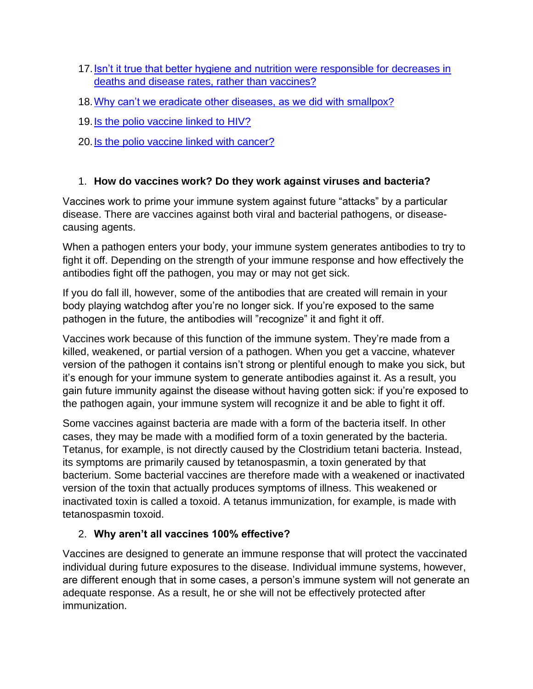- 17. Isn't it true that better hygiene and nutrition were responsible for decreases in [deaths and disease rates, rather than vaccines?](https://www.historyofvaccines.org/content/articles/top-20-questions-about-vaccination#17)
- 18[.Why can't we eradicate other diseases, as we did with smallpox?](https://www.historyofvaccines.org/content/articles/top-20-questions-about-vaccination#18)
- 19[.Is the polio vaccine linked to HIV?](https://www.historyofvaccines.org/content/articles/top-20-questions-about-vaccination#19)
- 20[.Is the polio vaccine linked with cancer?](https://www.historyofvaccines.org/content/articles/top-20-questions-about-vaccination#20)

## 1. **How do vaccines work? Do they work against viruses and bacteria?**

Vaccines work to prime your immune system against future "attacks" by a particular disease. There are vaccines against both viral and bacterial pathogens, or diseasecausing agents.

When a pathogen enters your body, your immune system generates antibodies to try to fight it off. Depending on the strength of your immune response and how effectively the antibodies fight off the pathogen, you may or may not get sick.

If you do fall ill, however, some of the antibodies that are created will remain in your body playing watchdog after you're no longer sick. If you're exposed to the same pathogen in the future, the antibodies will "recognize" it and fight it off.

Vaccines work because of this function of the immune system. They're made from a killed, weakened, or partial version of a pathogen. When you get a vaccine, whatever version of the pathogen it contains isn't strong or plentiful enough to make you sick, but it's enough for your immune system to generate antibodies against it. As a result, you gain future immunity against the disease without having gotten sick: if you're exposed to the pathogen again, your immune system will recognize it and be able to fight it off.

Some vaccines against bacteria are made with a form of the bacteria itself. In other cases, they may be made with a modified form of a toxin generated by the bacteria. Tetanus, for example, is not directly caused by the Clostridium tetani bacteria. Instead, its symptoms are primarily caused by tetanospasmin, a toxin generated by that bacterium. Some bacterial vaccines are therefore made with a weakened or inactivated version of the toxin that actually produces symptoms of illness. This weakened or inactivated toxin is called a toxoid. A tetanus immunization, for example, is made with tetanospasmin toxoid.

## 2. **Why aren't all vaccines 100% effective?**

Vaccines are designed to generate an immune response that will protect the vaccinated individual during future exposures to the disease. Individual immune systems, however, are different enough that in some cases, a person's immune system will not generate an adequate response. As a result, he or she will not be effectively protected after immunization.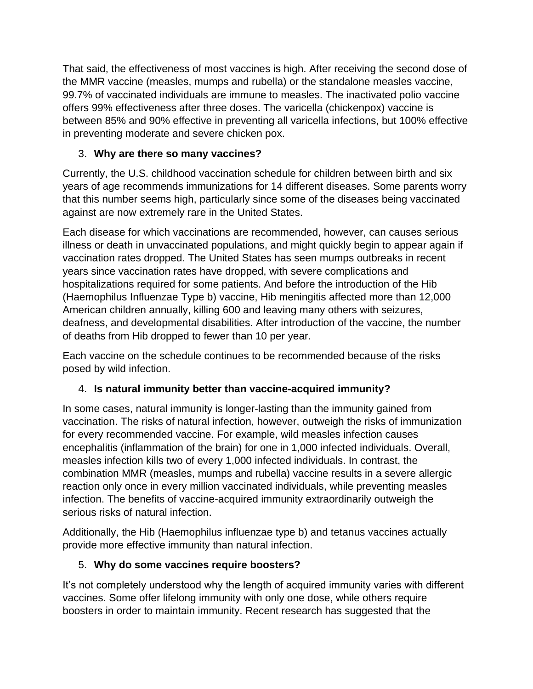That said, the effectiveness of most vaccines is high. After receiving the second dose of the MMR vaccine (measles, mumps and rubella) or the standalone measles vaccine, 99.7% of vaccinated individuals are immune to measles. The inactivated polio vaccine offers 99% effectiveness after three doses. The varicella (chickenpox) vaccine is between 85% and 90% effective in preventing all varicella infections, but 100% effective in preventing moderate and severe chicken pox.

# 3. **Why are there so many vaccines?**

Currently, the U.S. childhood vaccination schedule for children between birth and six years of age recommends immunizations for 14 different diseases. Some parents worry that this number seems high, particularly since some of the diseases being vaccinated against are now extremely rare in the United States.

Each disease for which vaccinations are recommended, however, can causes serious illness or death in unvaccinated populations, and might quickly begin to appear again if vaccination rates dropped. The United States has seen mumps outbreaks in recent years since vaccination rates have dropped, with severe complications and hospitalizations required for some patients. And before the introduction of the Hib (Haemophilus Influenzae Type b) vaccine, Hib meningitis affected more than 12,000 American children annually, killing 600 and leaving many others with seizures, deafness, and developmental disabilities. After introduction of the vaccine, the number of deaths from Hib dropped to fewer than 10 per year.

Each vaccine on the schedule continues to be recommended because of the risks posed by wild infection.

## 4. **Is natural immunity better than vaccine-acquired immunity?**

In some cases, natural immunity is longer-lasting than the immunity gained from vaccination. The risks of natural infection, however, outweigh the risks of immunization for every recommended vaccine. For example, wild measles infection causes encephalitis (inflammation of the brain) for one in 1,000 infected individuals. Overall, measles infection kills two of every 1,000 infected individuals. In contrast, the combination MMR (measles, mumps and rubella) vaccine results in a severe allergic reaction only once in every million vaccinated individuals, while preventing measles infection. The benefits of vaccine-acquired immunity extraordinarily outweigh the serious risks of natural infection.

Additionally, the Hib (Haemophilus influenzae type b) and tetanus vaccines actually provide more effective immunity than natural infection.

## 5. **Why do some vaccines require boosters?**

It's not completely understood why the length of acquired immunity varies with different vaccines. Some offer lifelong immunity with only one dose, while others require boosters in order to maintain immunity. Recent research has suggested that the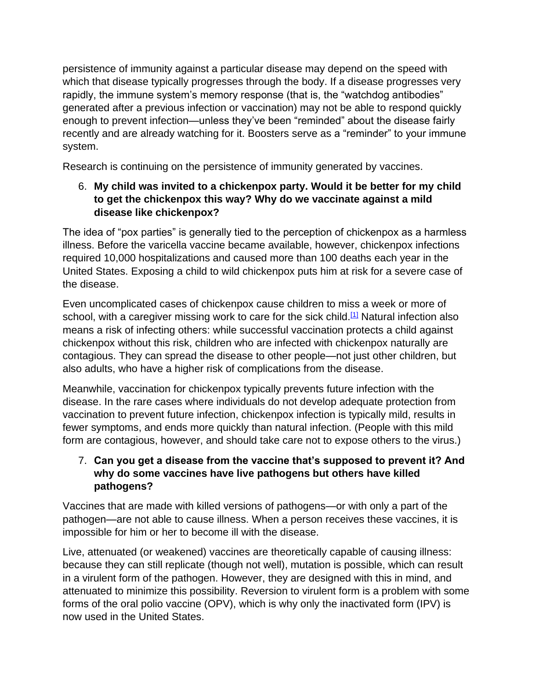persistence of immunity against a particular disease may depend on the speed with which that disease typically progresses through the body. If a disease progresses very rapidly, the immune system's memory response (that is, the "watchdog antibodies" generated after a previous infection or vaccination) may not be able to respond quickly enough to prevent infection—unless they've been "reminded" about the disease fairly recently and are already watching for it. Boosters serve as a "reminder" to your immune system.

Research is continuing on the persistence of immunity generated by vaccines.

## 6. **My child was invited to a chickenpox party. Would it be better for my child to get the chickenpox this way? Why do we vaccinate against a mild disease like chickenpox?**

The idea of "pox parties" is generally tied to the perception of chickenpox as a harmless illness. Before the varicella vaccine became available, however, chickenpox infections required 10,000 hospitalizations and caused more than 100 deaths each year in the United States. Exposing a child to wild chickenpox puts him at risk for a severe case of the disease.

Even uncomplicated cases of chickenpox cause children to miss a week or more of school, with a caregiver missing work to care for the sick child.<sup>[\[1\]](https://www.historyofvaccines.org/content/articles/top-20-questions-about-vaccination#Source%201)</sup> Natural infection also means a risk of infecting others: while successful vaccination protects a child against chickenpox without this risk, children who are infected with chickenpox naturally are contagious. They can spread the disease to other people—not just other children, but also adults, who have a higher risk of complications from the disease.

Meanwhile, vaccination for chickenpox typically prevents future infection with the disease. In the rare cases where individuals do not develop adequate protection from vaccination to prevent future infection, chickenpox infection is typically mild, results in fewer symptoms, and ends more quickly than natural infection. (People with this mild form are contagious, however, and should take care not to expose others to the virus.)

## 7. **Can you get a disease from the vaccine that's supposed to prevent it? And why do some vaccines have live pathogens but others have killed pathogens?**

Vaccines that are made with killed versions of pathogens—or with only a part of the pathogen—are not able to cause illness. When a person receives these vaccines, it is impossible for him or her to become ill with the disease.

Live, attenuated (or weakened) vaccines are theoretically capable of causing illness: because they can still replicate (though not well), mutation is possible, which can result in a virulent form of the pathogen. However, they are designed with this in mind, and attenuated to minimize this possibility. Reversion to virulent form is a problem with some forms of the oral polio vaccine (OPV), which is why only the inactivated form (IPV) is now used in the United States.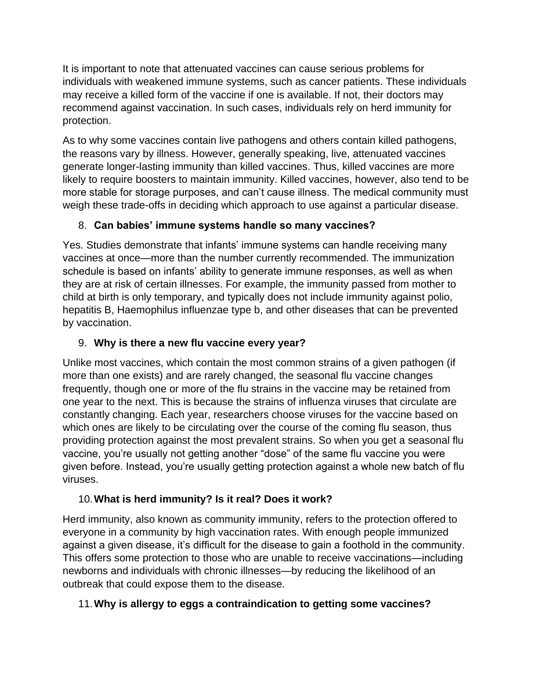It is important to note that attenuated vaccines can cause serious problems for individuals with weakened immune systems, such as cancer patients. These individuals may receive a killed form of the vaccine if one is available. If not, their doctors may recommend against vaccination. In such cases, individuals rely on herd immunity for protection.

As to why some vaccines contain live pathogens and others contain killed pathogens, the reasons vary by illness. However, generally speaking, live, attenuated vaccines generate longer-lasting immunity than killed vaccines. Thus, killed vaccines are more likely to require boosters to maintain immunity. Killed vaccines, however, also tend to be more stable for storage purposes, and can't cause illness. The medical community must weigh these trade-offs in deciding which approach to use against a particular disease.

# 8. **Can babies' immune systems handle so many vaccines?**

Yes. Studies demonstrate that infants' immune systems can handle receiving many vaccines at once—more than the number currently recommended. The immunization schedule is based on infants' ability to generate immune responses, as well as when they are at risk of certain illnesses. For example, the immunity passed from mother to child at birth is only temporary, and typically does not include immunity against polio, hepatitis B, Haemophilus influenzae type b, and other diseases that can be prevented by vaccination.

# 9. **Why is there a new flu vaccine every year?**

Unlike most vaccines, which contain the most common strains of a given pathogen (if more than one exists) and are rarely changed, the seasonal flu vaccine changes frequently, though one or more of the flu strains in the vaccine may be retained from one year to the next. This is because the strains of influenza viruses that circulate are constantly changing. Each year, researchers choose viruses for the vaccine based on which ones are likely to be circulating over the course of the coming flu season, thus providing protection against the most prevalent strains. So when you get a seasonal flu vaccine, you're usually not getting another "dose" of the same flu vaccine you were given before. Instead, you're usually getting protection against a whole new batch of flu viruses.

# 10.**What is herd immunity? Is it real? Does it work?**

Herd immunity, also known as community immunity, refers to the protection offered to everyone in a community by high vaccination rates. With enough people immunized against a given disease, it's difficult for the disease to gain a foothold in the community. This offers some protection to those who are unable to receive vaccinations—including newborns and individuals with chronic illnesses—by reducing the likelihood of an outbreak that could expose them to the disease.

## 11.**Why is allergy to eggs a contraindication to getting some vaccines?**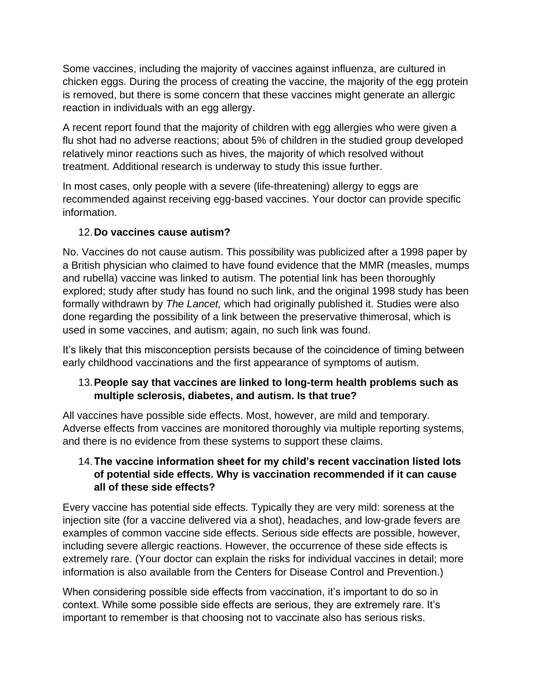Some vaccines, including the majority of vaccines against influenza, are cultured in chicken eggs. During the process of creating the vaccine, the majority of the egg protein is removed, but there is some concern that these vaccines might generate an allergic reaction in individuals with an egg allergy.

A recent report found that the majority of children with egg allergies who were given a flu shot had no adverse reactions; about 5% of children in the studied group developed relatively minor reactions such as hives, the majority of which resolved without treatment. Additional research is underway to study this issue further.

In most cases, only people with a severe (life-threatening) allergy to eggs are recommended against receiving egg-based vaccines. Your doctor can provide specific information.

## 12.**Do vaccines cause autism?**

No. Vaccines do not cause autism. This possibility was publicized after a 1998 paper by a British physician who claimed to have found evidence that the MMR (measles, mumps and rubella) vaccine was linked to autism. The potential link has been thoroughly explored; study after study has found no such link, and the original 1998 study has been formally withdrawn by *The Lancet,* which had originally published it. Studies were also done regarding the possibility of a link between the preservative thimerosal, which is used in some vaccines, and autism; again, no such link was found.

It's likely that this misconception persists because of the coincidence of timing between early childhood vaccinations and the first appearance of symptoms of autism.

## 13.**People say that vaccines are linked to long-term health problems such as multiple sclerosis, diabetes, and autism. Is that true?**

All vaccines have possible side effects. Most, however, are mild and temporary. Adverse effects from vaccines are monitored thoroughly via multiple reporting systems, and there is no evidence from these systems to support these claims.

#### 14.**The vaccine information sheet for my child's recent vaccination listed lots of potential side effects. Why is vaccination recommended if it can cause all of these side effects?**

Every vaccine has potential side effects. Typically they are very mild: soreness at the injection site (for a vaccine delivered via a shot), headaches, and low-grade fevers are examples of common vaccine side effects. Serious side effects are possible, however, including severe allergic reactions. However, the occurrence of these side effects is extremely rare. (Your doctor can explain the risks for individual vaccines in detail; more information is also available from the Centers for Disease Control and Prevention.)

When considering possible side effects from vaccination, it's important to do so in context. While some possible side effects are serious, they are extremely rare. It's important to remember is that choosing not to vaccinate also has serious risks.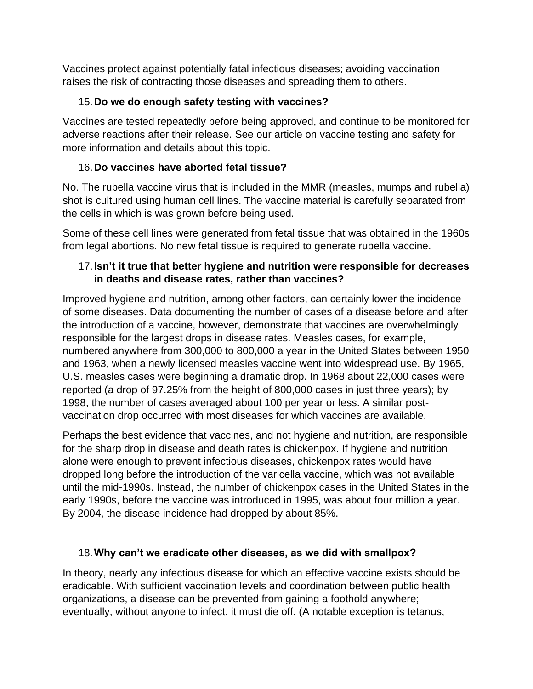Vaccines protect against potentially fatal infectious diseases; avoiding vaccination raises the risk of contracting those diseases and spreading them to others.

## 15.**Do we do enough safety testing with vaccines?**

Vaccines are tested repeatedly before being approved, and continue to be monitored for adverse reactions after their release. See our article on vaccine testing and safety for more information and details about this topic.

## 16.**Do vaccines have aborted fetal tissue?**

No. The rubella vaccine virus that is included in the MMR (measles, mumps and rubella) shot is cultured using human cell lines. The vaccine material is carefully separated from the cells in which is was grown before being used.

Some of these cell lines were generated from fetal tissue that was obtained in the 1960s from legal abortions. No new fetal tissue is required to generate rubella vaccine.

## 17.**Isn't it true that better hygiene and nutrition were responsible for decreases in deaths and disease rates, rather than vaccines?**

Improved hygiene and nutrition, among other factors, can certainly lower the incidence of some diseases. Data documenting the number of cases of a disease before and after the introduction of a vaccine, however, demonstrate that vaccines are overwhelmingly responsible for the largest drops in disease rates. Measles cases, for example, numbered anywhere from 300,000 to 800,000 a year in the United States between 1950 and 1963, when a newly licensed measles vaccine went into widespread use. By 1965, U.S. measles cases were beginning a dramatic drop. In 1968 about 22,000 cases were reported (a drop of 97.25% from the height of 800,000 cases in just three years); by 1998, the number of cases averaged about 100 per year or less. A similar postvaccination drop occurred with most diseases for which vaccines are available.

Perhaps the best evidence that vaccines, and not hygiene and nutrition, are responsible for the sharp drop in disease and death rates is chickenpox. If hygiene and nutrition alone were enough to prevent infectious diseases, chickenpox rates would have dropped long before the introduction of the varicella vaccine, which was not available until the mid-1990s. Instead, the number of chickenpox cases in the United States in the early 1990s, before the vaccine was introduced in 1995, was about four million a year. By 2004, the disease incidence had dropped by about 85%.

#### 18.**Why can't we eradicate other diseases, as we did with smallpox?**

In theory, nearly any infectious disease for which an effective vaccine exists should be eradicable. With sufficient vaccination levels and coordination between public health organizations, a disease can be prevented from gaining a foothold anywhere; eventually, without anyone to infect, it must die off. (A notable exception is tetanus,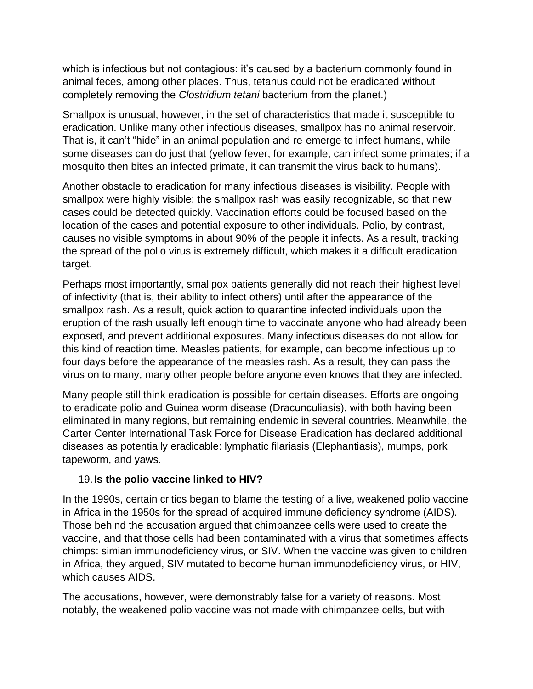which is infectious but not contagious: it's caused by a bacterium commonly found in animal feces, among other places. Thus, tetanus could not be eradicated without completely removing the *Clostridium tetani* bacterium from the planet.)

Smallpox is unusual, however, in the set of characteristics that made it susceptible to eradication. Unlike many other infectious diseases, smallpox has no animal reservoir. That is, it can't "hide" in an animal population and re-emerge to infect humans, while some diseases can do just that (yellow fever, for example, can infect some primates; if a mosquito then bites an infected primate, it can transmit the virus back to humans).

Another obstacle to eradication for many infectious diseases is visibility. People with smallpox were highly visible: the smallpox rash was easily recognizable, so that new cases could be detected quickly. Vaccination efforts could be focused based on the location of the cases and potential exposure to other individuals. Polio, by contrast, causes no visible symptoms in about 90% of the people it infects. As a result, tracking the spread of the polio virus is extremely difficult, which makes it a difficult eradication target.

Perhaps most importantly, smallpox patients generally did not reach their highest level of infectivity (that is, their ability to infect others) until after the appearance of the smallpox rash. As a result, quick action to quarantine infected individuals upon the eruption of the rash usually left enough time to vaccinate anyone who had already been exposed, and prevent additional exposures. Many infectious diseases do not allow for this kind of reaction time. Measles patients, for example, can become infectious up to four days before the appearance of the measles rash. As a result, they can pass the virus on to many, many other people before anyone even knows that they are infected.

Many people still think eradication is possible for certain diseases. Efforts are ongoing to eradicate polio and Guinea worm disease (Dracunculiasis), with both having been eliminated in many regions, but remaining endemic in several countries. Meanwhile, the Carter Center International Task Force for Disease Eradication has declared additional diseases as potentially eradicable: lymphatic filariasis (Elephantiasis), mumps, pork tapeworm, and yaws.

#### 19.**Is the polio vaccine linked to HIV?**

In the 1990s, certain critics began to blame the testing of a live, weakened polio vaccine in Africa in the 1950s for the spread of acquired immune deficiency syndrome (AIDS). Those behind the accusation argued that chimpanzee cells were used to create the vaccine, and that those cells had been contaminated with a virus that sometimes affects chimps: simian immunodeficiency virus, or SIV. When the vaccine was given to children in Africa, they argued, SIV mutated to become human immunodeficiency virus, or HIV, which causes AIDS.

The accusations, however, were demonstrably false for a variety of reasons. Most notably, the weakened polio vaccine was not made with chimpanzee cells, but with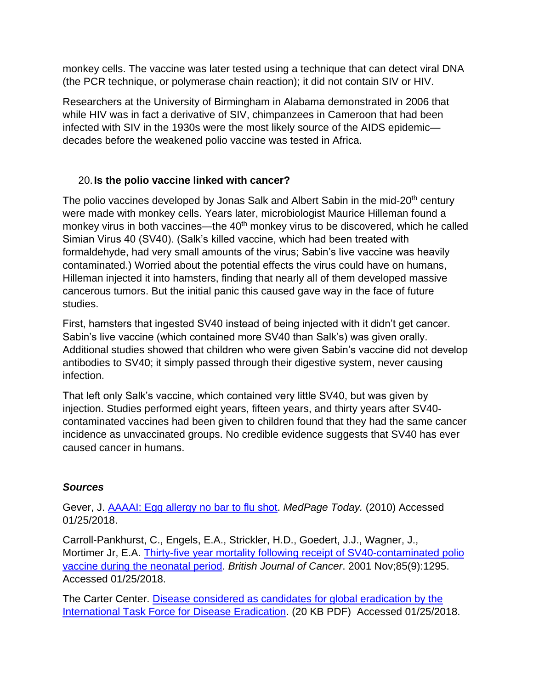monkey cells. The vaccine was later tested using a technique that can detect viral DNA (the PCR technique, or polymerase chain reaction); it did not contain SIV or HIV.

Researchers at the University of Birmingham in Alabama demonstrated in 2006 that while HIV was in fact a derivative of SIV, chimpanzees in Cameroon that had been infected with SIV in the 1930s were the most likely source of the AIDS epidemic decades before the weakened polio vaccine was tested in Africa.

#### 20.**Is the polio vaccine linked with cancer?**

The polio vaccines developed by Jonas Salk and Albert Sabin in the mid-20<sup>th</sup> century were made with monkey cells. Years later, microbiologist Maurice Hilleman found a monkey virus in both vaccines—the 40<sup>th</sup> monkey virus to be discovered, which he called Simian Virus 40 (SV40). (Salk's killed vaccine, which had been treated with formaldehyde, had very small amounts of the virus; Sabin's live vaccine was heavily contaminated.) Worried about the potential effects the virus could have on humans, Hilleman injected it into hamsters, finding that nearly all of them developed massive cancerous tumors. But the initial panic this caused gave way in the face of future studies.

First, hamsters that ingested SV40 instead of being injected with it didn't get cancer. Sabin's live vaccine (which contained more SV40 than Salk's) was given orally. Additional studies showed that children who were given Sabin's vaccine did not develop antibodies to SV40; it simply passed through their digestive system, never causing infection.

That left only Salk's vaccine, which contained very little SV40, but was given by injection. Studies performed eight years, fifteen years, and thirty years after SV40 contaminated vaccines had been given to children found that they had the same cancer incidence as unvaccinated groups. No credible evidence suggests that SV40 has ever caused cancer in humans.

#### *Sources*

Gever, J. [AAAAI: Egg allergy no bar to flu shot.](http://www.medpagetoday.com/MeetingCoverage/AAAAI/18733) *MedPage Today.* (2010) Accessed 01/25/2018.

Carroll-Pankhurst, C., Engels, E.A., Strickler, H.D., Goedert, J.J., Wagner, J., Mortimer Jr, E.A. [Thirty-five year mortality following receipt of SV40-contaminated polio](https://www.ncbi.nlm.nih.gov/pmc/articles/PMC2375249/pdf/85-6692065a.pdf)  [vaccine during the neonatal period.](https://www.ncbi.nlm.nih.gov/pmc/articles/PMC2375249/pdf/85-6692065a.pdf) *British Journal of Cancer*. 2001 Nov;85(9):1295. Accessed 01/25/2018.

The Carter Center. [Disease considered as candidates for global eradication by the](https://www.cartercenter.org/resources/pdfs/news/health_publications/itfde/updated_disease_candidate_table.pdf)  [International Task Force for Disease Eradication.](https://www.cartercenter.org/resources/pdfs/news/health_publications/itfde/updated_disease_candidate_table.pdf) (20 KB PDF) Accessed 01/25/2018.